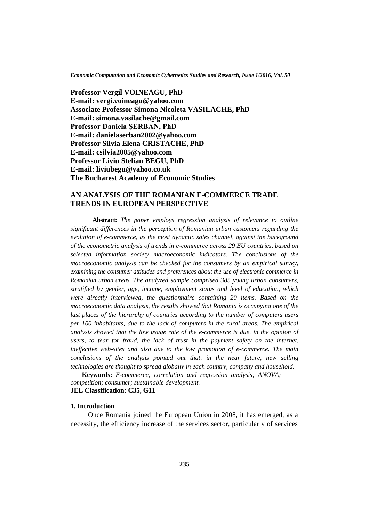*Economic Computation and Economic Cybernetics Studies and Research, Issue 1/2016, Vol. 50* **\_\_\_\_\_\_\_\_\_\_\_\_\_\_\_\_\_\_\_\_\_\_\_\_\_\_\_\_\_\_\_\_\_\_\_\_\_\_\_\_\_\_\_\_\_\_\_\_\_\_\_\_\_\_\_\_\_\_\_\_\_\_\_\_\_\_\_\_\_\_\_\_\_\_\_\_\_\_\_\_**

**Professor Vergil VOINEAGU, PhD E-mail: [vergi.voineagu@yahoo.com](mailto:vergi.voineagu@yahoo.com) Associate Professor Simona Nicoleta VASILACHE, PhD E-mail: [simona.vasilache@gmail.com](mailto:simona.vasilache@gmail.com) Professor Daniela ŞERBAN, PhD E-mail: [danielaserban2002@yahoo.com](mailto:danielaserban2002@yahoo.com) Professor Silvia Elena CRISTACHE, PhD E-mail: [csilvia2005@yahoo.com](mailto:simona.vasilache@gmail.com) Professor Liviu Stelian BEGU, PhD E-mail: [liviubegu@yahoo.co.uk](mailto:liviubegu@yahoo.co.uk) The Bucharest Academy of Economic Studies**

## **AN ANALYSIS OF THE ROMANIAN E-COMMERCE TRADE TRENDS IN EUROPEAN PERSPECTIVE**

**Abstract:** *The paper employs regression analysis of relevance to outline significant differences in the perception of Romanian urban customers regarding the evolution of e-commerce, as the most dynamic sales channel, against the background of the econometric analysis of trends in e-commerce across 29 EU countries, based on selected information society macroeconomic indicators. The conclusions of the macroeconomic analysis can be checked for the consumers by an empirical survey, examining the consumer attitudes and preferences about the use of electronic commerce in Romanian urban areas. The analyzed sample comprised 385 young urban consumers, stratified by gender, age, income, employment status and level of education, which were directly interviewed, the questionnaire containing 20 items. Based on the macroeconomic data analysis, the results showed that Romania is occupying one of the*  last places of the hierarchy of countries according to the number of computers users *per 100 inhabitants, due to the lack of computers in the rural areas. The empirical analysis showed that the low usage rate of the e-commerce is due, in the opinion of users, to fear for fraud, the lack of trust in the payment safety on the internet, ineffective web-sites and also due to the low promotion of e-commerce. The main conclusions of the analysis pointed out that, in the near future, new selling technologies are thought to spread globally in each country, company and household.* 

 **Keywords:** *E-commerce; correlation and regression analysis; ANOVA; competition; consumer; sustainable development.* **JEL Classification: C35, G11**

#### **1. Introduction**

Once Romania joined the European Union in 2008, it has emerged, as a necessity, the efficiency increase of the services sector, particularly of services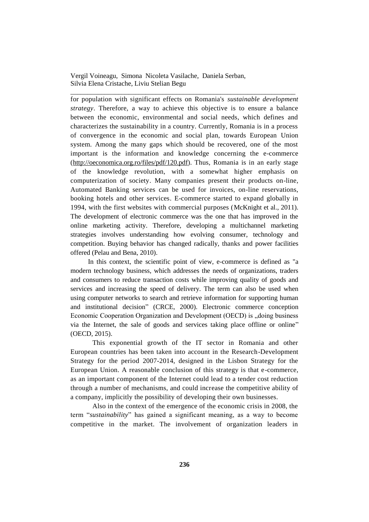for population with significant effects on Romania's *sustainable development strategy*. Therefore, a way to achieve this objective is to ensure a balance between the economic, environmental and social needs, which defines and characterizes the sustainability in a country. Currently, Romania is in a process of convergence in the economic and social plan, towards European Union system. Among the many gaps which should be recovered, one of the most important is the information and knowledge concerning the e-commerce [\(http://oeconomica.org.ro/files/pdf/120.pdf\)](http://oeconomica.org.ro/files/pdf/120.pdf). Thus, Romania is in an early stage of the knowledge revolution, with a somewhat higher emphasis on computerization of society. Many companies present their products on-line, Automated Banking services can be used for invoices, on-line reservations, booking hotels and other services. E-commerce started to expand globally in 1994, with the first websites with commercial purposes (McKnight et al., 2011). The development of electronic commerce was the one that has improved in the online marketing activity. Therefore, developing a multichannel marketing strategies involves understanding how evolving consumer, technology and competition. Buying behavior has changed radically, thanks and power facilities offered (Pelau and Bena, 2010).

\_\_\_\_\_\_\_\_\_\_\_\_\_\_\_\_\_\_\_\_\_\_\_\_\_\_\_\_\_\_\_\_\_\_\_\_\_\_\_\_\_\_\_\_\_\_\_\_\_\_\_\_\_\_\_\_\_\_\_\_\_\_\_\_\_\_

In this context, the scientific point of view, e-commerce is defined as "a modern technology business, which addresses the needs of organizations, traders and consumers to reduce transaction costs while improving quality of goods and services and increasing the speed of delivery. The term can also be used when using computer networks to search and retrieve information for supporting human and institutional decision" (CRCE, 2000). Electronic commerce conception Economic Cooperation Organization and Development (OECD) is ... doing business via the Internet, the sale of goods and services taking place offline or online" (OECD, 2015).

This exponential growth of the IT sector in Romania and other European countries has been taken into account in the Research-Development Strategy for the period 2007-2014, designed in the Lisbon Strategy for the European Union. A reasonable conclusion of this strategy is that e-commerce, as an important component of the Internet could lead to a tender cost reduction through a number of mechanisms, and could increase the competitive ability of a company, implicitly the possibility of developing their own businesses.

Also in the context of the emergence of the economic crisis in 2008, the term "*sustainability*" has gained a significant meaning, as a way to become competitive in the market. The involvement of organization leaders in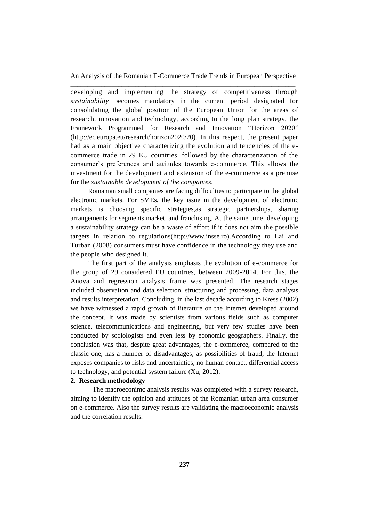developing and implementing the strategy of competitiveness through *sustainability* becomes mandatory in the current period designated for consolidating the global position of the European Union for the areas of research, innovation and technology, according to the long plan strategy, the Framework Programmed for Research and Innovation "Horizon 2020" [\(http://ec.europa.eu/research/horizon2020/20\)](http://ec.europa.eu/research/horizon2020/20). In this respect, the present paper had as a main objective characterizing the evolution and tendencies of the ecommerce trade in 29 EU countries, followed by the characterization of the consumer's preferences and attitudes towards e-commerce. This allows the investment for the development and extension of the e-commerce as a premise for the *sustainable development of the companies.*

Romanian small companies are facing difficulties to participate to the global electronic markets. For SMEs, the key issue in the development of electronic markets is choosing specific strategies,as strategic partnerships, sharing arrangements for segments market, and franchising. At the same time, developing a sustainability strategy can be a waste of effort if it does not aim the possible targets in relation to regulations[\(http://www.insse.ro\)](http://www.insse.ro/).According to Lai and Turban (2008) consumers must have confidence in the technology they use and the people who designed it.

The first part of the analysis emphasis the evolution of e-commerce for the group of 29 considered EU countries, between 2009-2014. For this, the Anova and regression analysis frame was presented. The research stages included observation and data selection, structuring and processing, data analysis and results interpretation. Concluding, in the last decade according to Kress (2002) we have witnessed a rapid growth of literature on the Internet developed around the concept. It was made by scientists from various fields such as computer science, telecommunications and engineering, but very few studies have been conducted by sociologists and even less by economic geographers. Finally, the conclusion was that, despite great advantages, the e-commerce, compared to the classic one, has a number of disadvantages, as possibilities of fraud; the Internet exposes companies to risks and uncertainties, no human contact, differential access to technology, and potential system failure (Xu, 2012).

### **2. Research methodology**

The macroeconimc analysis results was completed with a survey research, aiming to identify the opinion and attitudes of the Romanian urban area consumer on e-commerce. Also the survey results are validating the macroeconomic analysis and the correlation results.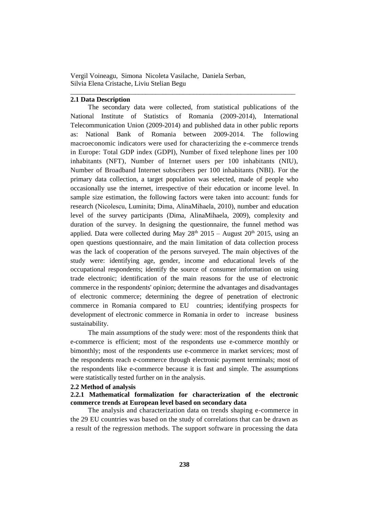\_\_\_\_\_\_\_\_\_\_\_\_\_\_\_\_\_\_\_\_\_\_\_\_\_\_\_\_\_\_\_\_\_\_\_\_\_\_\_\_\_\_\_\_\_\_\_\_\_\_\_\_\_\_\_\_\_\_\_\_\_\_\_\_\_\_

## **2.1 Data Description**

The secondary data were collected, from statistical publications of the National Institute of Statistics of Romania (2009-2014), International Telecommunication Union (2009-2014) and published data in other public reports as: National Bank of Romania between 2009-2014. The following macroeconomic indicators were used for characterizing the e-commerce trends in Europe: Total GDP index (GDPI), Number of fixed telephone lines per 100 inhabitants (NFT), Number of Internet users per 100 inhabitants (NIU), Number of Broadband Internet subscribers per 100 inhabitants (NBI). For the primary data collection, a target population was selected, made of people who occasionally use the internet, irrespective of their education or income level. In sample size estimation, the following factors were taken into account: funds for research (Nicolescu, Luminita; Dima, AlinaMihaela, 2010), number and education level of the survey participants (Dima, AlinaMihaela, 2009), complexity and duration of the survey. In designing the questionnaire, the funnel method was applied. Data were collected during May  $28<sup>th</sup>$  2015 – August 20<sup>th</sup> 2015, using an open questions questionnaire, and the main limitation of data collection process was the lack of cooperation of the persons surveyed. The main objectives of the study were: identifying age, gender, income and educational levels of the occupational respondents; identify the source of consumer information on using trade electronic; identification of the main reasons for the use of electronic commerce in the respondents' opinion; determine the advantages and disadvantages of electronic commerce; determining the degree of penetration of electronic commerce in Romania compared to EU countries; identifying prospects for development of electronic commerce in Romania in order to increase business sustainability.

The main assumptions of the study were: most of the respondents think that e-commerce is efficient; most of the respondents use e-commerce monthly or bimonthly; most of the respondents use e-commerce in market services; most of the respondents reach e-commerce through electronic payment terminals; most of the respondents like e-commerce because it is fast and simple. The assumptions were statistically tested further on in the analysis.

#### **2.2 Method of analysis**

### **2.2.1 Mathematical formalization for characterization of the electronic commerce trends at European level based on secondary data**

The analysis and characterization data on trends shaping e-commerce in the 29 EU countries was based on the study of correlations that can be drawn as a result of the regression methods. The support software in processing the data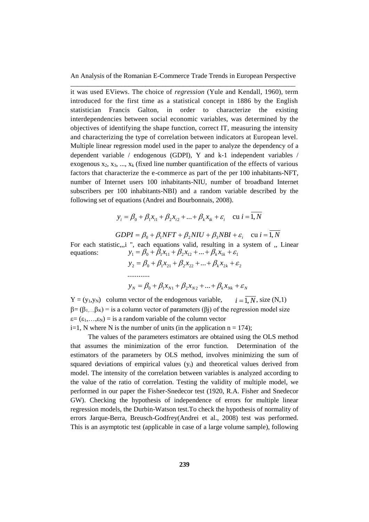it was used EViews. The choice of *regression* (Yule and Kendall, 1960), term introduced for the first time as a statistical concept in 1886 by the English statistician Francis Galton, in order to characterize the existing interdependencies between social economic variables, was determined by the objectives of identifying the shape function, correct IT, measuring the intensity and characterizing the type of correlation between indicators at European level. Multiple linear regression model used in the paper to analyze the dependency of a dependent variable / endogenous (GDPI), Y and k-1 independent variables / exogenous  $x_2, x_3, \ldots, x_k$  (fixed line number quantification of the effects of various factors that characterize the e-commerce as part of the per 100 inhabitants-NFT, number of Internet users 100 inhabitants-NIU, number of broadband Internet subscribers per 100 inhabitants-NBI) and a random variable described by the following set of equations (Andrei and Bourbonnais, 2008).

$$
y_i = \beta_0 + \beta_1 x_{i1} + \beta_2 x_{i2} + ... + \beta_k x_{ik} + \varepsilon_i
$$
 cu  $i = 1, N$ 

 $GDPI = \beta_0 + \beta_1 NFT + \beta_2 NIU + \beta_3 NBI + \varepsilon_i$  cu  $i = 1, N$ 

For each statistic,,,i ", each equations valid, resulting in a system of , Linear equations:  $y_1 = \beta_0 + \hat{\beta}_1 x_{11} + \beta_2 x_{12} + ... + \beta_k x_{1k} + \varepsilon_1$ 

$$
y_2 = \beta_0 + \beta_1 x_{21} + \beta_2 x_{22} + \dots + \beta_k x_{2k} + \varepsilon_2
$$
  
........  

$$
y_N = \beta_0 + \beta_1 x_{N1} + \beta_2 x_{N2} + \dots + \beta_k x_{Nk} + \varepsilon_N
$$

 $Y = (y_1, y_N)$  column vector of the endogenous variable,  $\beta = (\beta_1, \beta_K)$  = is a column vector of parameters ( $\beta$ i) of the regression model size  $\varepsilon = (\varepsilon_1,...,\varepsilon_N) =$  is a random variable of the column vector  $i=1$ , N where N is the number of units (in the application  $n = 174$ );  $i = \overline{1, N}$ , size (N,1)

The values of the parameters estimators are obtained using the OLS method that assumes the minimization of the error function. Determination of the estimators of the parameters by OLS method, involves minimizing the sum of squared deviations of empirical values  $(v_i)$  and theoretical values derived from model. The intensity of the correlation between variables is analyzed according to the value of the ratio of correlation. Testing the validity of multiple model, we performed in our paper the Fisher-Snedecor test (1920, R.A. Fisher and Snedecor GW). Checking the hypothesis of independence of errors for multiple linear regression models, the Durbin-Watson test.To check the hypothesis of normality of errors Jarque-Berra, Breusch-Godfrey(Andrei et al., 2008) test was performed. This is an asymptotic test (applicable in case of a large volume sample), following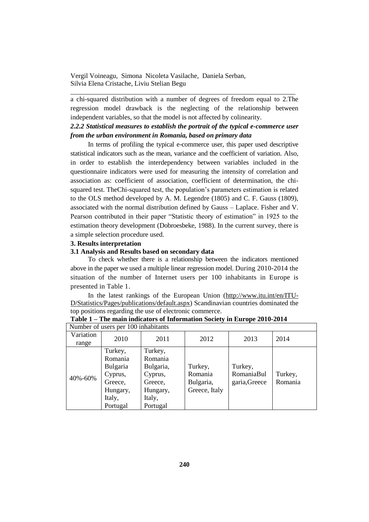a chi-squared distribution with a number of degrees of freedom equal to 2.The regression model drawback is the neglecting of the relationship between independent variables, so that the model is not affected by colinearity.

\_\_\_\_\_\_\_\_\_\_\_\_\_\_\_\_\_\_\_\_\_\_\_\_\_\_\_\_\_\_\_\_\_\_\_\_\_\_\_\_\_\_\_\_\_\_\_\_\_\_\_\_\_\_\_\_\_\_\_\_\_\_\_\_\_\_

# *2.2.2 Statistical measures to establish the portrait of the typical e-commerce user from the urban environment in Romania, based on primary data*

In terms of profiling the typical e-commerce user, this paper used descriptive statistical indicators such as the mean, variance and the coefficient of variation. Also, in order to establish the interdependency between variables included in the questionnaire indicators were used for measuring the intensity of correlation and association as: coefficient of association, coefficient of determination, the chisquared test. TheChi-squared test, the population's parameters estimation is related to the OLS method developed by A. M. Legendre (1805) and C. F. Gauss (1809), associated with the normal distribution defined by Gauss – Laplace. Fisher and V. Pearson contributed in their paper "Statistic theory of estimation" in 1925 to the estimation theory development (Dobroesbeke, 1988). In the current survey, there is a simple selection procedure used.

#### **3. Results interpretation**

#### **3.1 Analysis and Results based on secondary data**

To check whether there is a relationship between the indicators mentioned above in the paper we used a multiple linear regression model. During 2010-2014 the situation of the number of Internet users per 100 inhabitants in Europe is presented in Table 1.

In the latest rankings of the European Union [\(http://www.itu.int/en/ITU-](http://www.itu.int/en/ITU-D/Statistics/Pages/publications/default.aspx)[D/Statistics/Pages/publications/default.aspx\)](http://www.itu.int/en/ITU-D/Statistics/Pages/publications/default.aspx) Scandinavian countries dominated the top positions regarding the use of electronic commerce.

| Number of users per 100 inhabitants |          |           |               |               |         |  |
|-------------------------------------|----------|-----------|---------------|---------------|---------|--|
| Variation                           | 2010     | 2011      | 2012          | 2013          | 2014    |  |
| range                               |          |           |               |               |         |  |
|                                     | Turkey,  | Turkey,   |               |               |         |  |
|                                     | Romania  | Romania   |               |               |         |  |
|                                     | Bulgaria | Bulgaria, | Turkey,       | Turkey,       |         |  |
| 40%-60%                             | Cyprus,  | Cyprus,   | Romania       | RomaniaBul    | Turkey, |  |
|                                     | Greece,  | Greece,   | Bulgaria,     | garia, Greece | Romania |  |
|                                     | Hungary, | Hungary,  | Greece, Italy |               |         |  |
|                                     | Italy,   | Italy,    |               |               |         |  |
|                                     | Portugal | Portugal  |               |               |         |  |

**Table 1 – The main indicators of Information Society in Europe 2010-2014**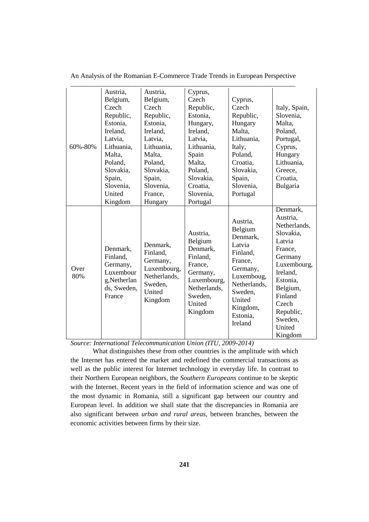|             | Austria,                                                                              | Austria,                                                                                        | Cyprus,                                                                                                                           |                                                                                                                                                                    |                                                                                                                                                                                                       |
|-------------|---------------------------------------------------------------------------------------|-------------------------------------------------------------------------------------------------|-----------------------------------------------------------------------------------------------------------------------------------|--------------------------------------------------------------------------------------------------------------------------------------------------------------------|-------------------------------------------------------------------------------------------------------------------------------------------------------------------------------------------------------|
|             | Belgium,                                                                              | Belgium,                                                                                        | Czech                                                                                                                             | Cyprus,                                                                                                                                                            |                                                                                                                                                                                                       |
|             | Czech                                                                                 | Czech                                                                                           | Republic,                                                                                                                         | Czech                                                                                                                                                              | Italy, Spain,                                                                                                                                                                                         |
|             | Republic,                                                                             | Republic,                                                                                       | Estonia,                                                                                                                          | Republic,                                                                                                                                                          | Slovenia,                                                                                                                                                                                             |
|             | Estonia.                                                                              | Estonia.                                                                                        | Hungary,                                                                                                                          | Hungary                                                                                                                                                            | Malta,                                                                                                                                                                                                |
|             | Ireland,                                                                              | Ireland,                                                                                        | Ireland,                                                                                                                          | Malta,                                                                                                                                                             | Poland,                                                                                                                                                                                               |
|             | Latvia,                                                                               | Latvia.                                                                                         | Latvia.                                                                                                                           | Lithuania,                                                                                                                                                         | Portugal,                                                                                                                                                                                             |
| 60%-80%     | Lithuania,                                                                            | Lithuania,                                                                                      | Lithuania,                                                                                                                        | Italy,                                                                                                                                                             | Cyprus,                                                                                                                                                                                               |
|             | Malta,                                                                                | Malta,                                                                                          | Spain                                                                                                                             | Poland,                                                                                                                                                            | Hungary                                                                                                                                                                                               |
|             | Poland,                                                                               | Poland,                                                                                         | Malta,                                                                                                                            | Croatia.                                                                                                                                                           | Lithuania,                                                                                                                                                                                            |
|             | Slovakia,                                                                             | Slovakia,                                                                                       | Poland,                                                                                                                           | Slovakia,                                                                                                                                                          | Greece,                                                                                                                                                                                               |
|             | Spain,                                                                                | Spain,                                                                                          | Slovakia,                                                                                                                         | Spain,                                                                                                                                                             | Croatia.                                                                                                                                                                                              |
|             | Slovenia,                                                                             | Slovenia,                                                                                       | Croatia,                                                                                                                          | Slovenia,                                                                                                                                                          | Bulgaria                                                                                                                                                                                              |
|             | United                                                                                | France,                                                                                         | Slovenia,                                                                                                                         | Portugal                                                                                                                                                           |                                                                                                                                                                                                       |
|             | Kingdom                                                                               | Hungary                                                                                         | Portugal                                                                                                                          |                                                                                                                                                                    |                                                                                                                                                                                                       |
| Over<br>80% | Denmark,<br>Finland.<br>Germany,<br>Luxembour<br>g,Netherlan<br>ds, Sweden,<br>France | Denmark,<br>Finland,<br>Germany,<br>Luxembourg,<br>Netherlands,<br>Sweden,<br>United<br>Kingdom | Austria,<br>Belgium<br>Denmark,<br>Finland,<br>France,<br>Germany,<br>Luxembourg,<br>Netherlands,<br>Sweden,<br>United<br>Kingdom | Austria,<br>Belgium<br>Denmark,<br>Latvia<br>Finland,<br>France,<br>Germany,<br>Luxemboug,<br>Netherlands,<br>Sweden,<br>United<br>Kingdom,<br>Estonia,<br>Ireland | Denmark,<br>Austria,<br>Netherlands,<br>Slovakia,<br>Latvia<br>France,<br>Germany<br>Luxembourg,<br>Ireland,<br>Estonia,<br>Belgium,<br>Finland<br>Czech<br>Republic,<br>Sweden,<br>United<br>Kingdom |

An Analysis of the Romanian E-Commerce Trade Trends in European Perspective

*Source: International Telecommunication Union (ITU, 2009-2014)*

What distinguishes these from other countries is the amplitude with which the Internet has entered the market and redefined the commercial transactions as well as the public interest for Internet technology in everyday life. In contrast to their Northern European neighbors, the *Southern Europeans* continue to be skeptic with the Internet*.* Recent years in the field of information science and was one of the most dynamic in Romania, still a significant gap between our country and European level. In addition we shall state that the discrepancies in Romania are also significant between *urban and rural areas,* between branches, between the economic activities between firms by their size.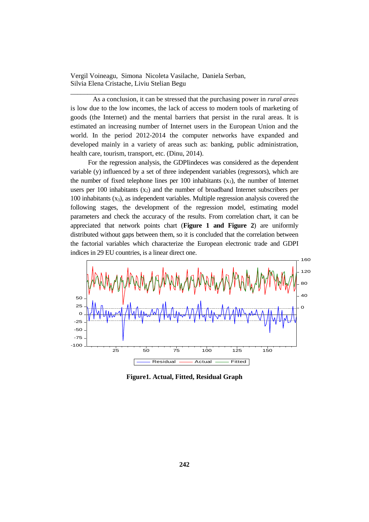As a conclusion, it can be stressed that the purchasing power in *rural areas* is low due to the low incomes, the lack of access to modern tools of marketing of goods (the Internet) and the mental barriers that persist in the rural areas. It is estimated an increasing number of Internet users in the European Union and the world. In the period 2012-2014 the computer networks have expanded and developed mainly in a variety of areas such as: banking, public administration, health care, tourism, transport, etc. (Dinu, 2014).

\_\_\_\_\_\_\_\_\_\_\_\_\_\_\_\_\_\_\_\_\_\_\_\_\_\_\_\_\_\_\_\_\_\_\_\_\_\_\_\_\_\_\_\_\_\_\_\_\_\_\_\_\_\_\_\_\_\_\_\_\_\_\_\_\_\_

For the regression analysis, the GDPIindeces was considered as the dependent variable (y) influenced by a set of three independent variables (regressors), which are the number of fixed telephone lines per  $100$  inhabitants  $(x_1)$ , the number of Internet users per 100 inhabitants  $(x_2)$  and the number of broadband Internet subscribers per  $100$  inhabitants  $(x<sub>3</sub>)$ , as independent variables. Multiple regression analysis covered the following stages, the development of the regression model, estimating model parameters and check the accuracy of the results. From correlation chart, it can be appreciated that network points chart (**Figure 1 and Figure 2**) are uniformly distributed without gaps between them, so it is concluded that the correlation between the factorial variables which characterize the European electronic trade and GDPI indices in 29 EU countries, is a linear direct one.



**Figure1. Actual, Fitted, Residual Graph**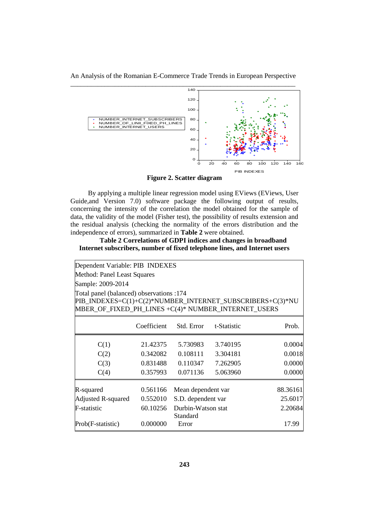An Analysis of the Romanian E-Commerce Trade Trends in European Perspective



**Figure 2. Scatter diagram**

By applying a multiple linear regression model using EViews (EViews, User Guide, and Version 7.0) software package the following output of results, concerning the intensity of the correlation the model obtained for the sample of data, the validity of the model (Fisher test), the possibility of results extension and the residual analysis (checking the normality of the errors distribution and the independence of errors), summarized in **Table 2** were obtained.

**Table 2 Correlations of GDPI indices and changes in broadband Internet subscribers, number of fixed telephone lines, and Internet users** 

| Dependent Variable: PIB INDEXES                                                                                                                              |                             |                                |             |          |  |  |  |  |  |  |
|--------------------------------------------------------------------------------------------------------------------------------------------------------------|-----------------------------|--------------------------------|-------------|----------|--|--|--|--|--|--|
|                                                                                                                                                              | Method: Panel Least Squares |                                |             |          |  |  |  |  |  |  |
| Sample: 2009-2014                                                                                                                                            |                             |                                |             |          |  |  |  |  |  |  |
| Total panel (balanced) observations :174<br>PIB_INDEXES=C(1)+C(2)*NUMBER_INTERNET_SUBSCRIBERS+C(3)*NU<br>MBER_OF_FIXED_PH_LINES +C(4)* NUMBER_INTERNET_USERS |                             |                                |             |          |  |  |  |  |  |  |
|                                                                                                                                                              | Coefficient                 | Std. Error                     | t-Statistic | Prob.    |  |  |  |  |  |  |
| C(1)                                                                                                                                                         | 21.42375                    | 5.730983                       | 3.740195    | 0.0004   |  |  |  |  |  |  |
| C(2)                                                                                                                                                         | 0.342082                    | 0.108111                       | 3.304181    | 0.0018   |  |  |  |  |  |  |
| C(3)                                                                                                                                                         | 0.831488                    | 0.110347                       | 7.262905    | 0.0000   |  |  |  |  |  |  |
| C(4)                                                                                                                                                         | 0.357993                    | 0.071136                       | 5.063960    | 0.0000   |  |  |  |  |  |  |
| R-squared                                                                                                                                                    | 0.561166                    | Mean dependent var             |             | 88.36161 |  |  |  |  |  |  |
| <b>Adjusted R-squared</b>                                                                                                                                    | 0.552010                    | S.D. dependent var             |             | 25.6017  |  |  |  |  |  |  |
| F-statistic                                                                                                                                                  | 60.10256                    | Durbin-Watson stat<br>Standard |             | 2.20684  |  |  |  |  |  |  |
| Prob(F-statistic)                                                                                                                                            | 0.000000                    | Error                          |             | 17.99    |  |  |  |  |  |  |
|                                                                                                                                                              |                             |                                |             |          |  |  |  |  |  |  |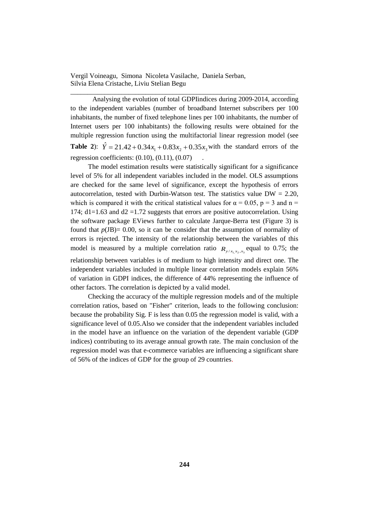Analysing the evolution of total GDPIindices during 2009-2014, according to the independent variables (number of broadband Internet subscribers per 100 inhabitants, the number of fixed telephone lines per 100 inhabitants, the number of Internet users per 100 inhabitants) the following results were obtained for the multiple regression function using the multifactorial linear regression model (see **Table 2**):  $\hat{Y} = 21.42 + 0.34x_1 + 0.83x_2 + 0.35x_3$  with the standard errors of the regression coefficients:  $(0.10)$ ,  $(0.11)$ ,  $(0.07)$ 

\_\_\_\_\_\_\_\_\_\_\_\_\_\_\_\_\_\_\_\_\_\_\_\_\_\_\_\_\_\_\_\_\_\_\_\_\_\_\_\_\_\_\_\_\_\_\_\_\_\_\_\_\_\_\_\_\_\_\_\_\_\_\_\_\_\_

The model estimation results were statistically significant for a significance level of 5% for all independent variables included in the model. OLS assumptions are checked for the same level of significance, except the hypothesis of errors autocorrelation, tested with Durbin-Watson test. The statistics value  $DW = 2.20$ , which is compared it with the critical statistical values for  $\alpha = 0.05$ ,  $p = 3$  and  $n =$ 174;  $d1=1.63$  and  $d2=1.72$  suggests that errors are positive autocorrelation. Using the software package EViews further to calculate Jarque-Berra test (Figure 3) is found that  $p(\text{JB}) = 0.00$ , so it can be consider that the assumption of normality of errors is rejected. The intensity of the relationship between the variables of this model is measured by a multiple correlation ratio  $R_{y/x_1, x_2, x_3}$  equal to 0.75; the relationship between variables is of medium to high intensity and direct one. The independent variables included in multiple linear correlation models explain 56% of variation in GDPI indices, the difference of 44% representing the influence of other factors. The correlation is depicted by a valid model.

Checking the accuracy of the multiple regression models and of the multiple correlation ratios, based on "Fisher" criterion, leads to the following conclusion: because the probability Sig. F is less than 0.05 the regression model is valid, with a significance level of 0.05.Also we consider that the independent variables included in the model have an influence on the variation of the dependent variable (GDP indices) contributing to its average annual growth rate. The main conclusion of the regression model was that e-commerce variables are influencing a significant share of 56% of the indices of GDP for the group of 29 countries.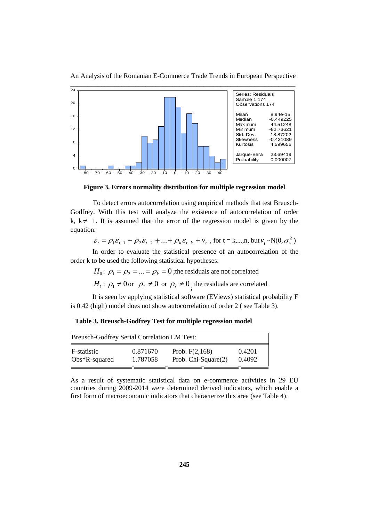

An Analysis of the Romanian E-Commerce Trade Trends in European Perspective

**Figure 3. Errors normality distribution for multiple regression model**

To detect errors autocorrelation using empirical methods that test Breusch-Godfrey. With this test will analyze the existence of autocorrelation of order k,  $k \neq 1$ . It is assumed that the error of the regression model is given by the equation:

$$
\varepsilon_{t} = \rho_1 \varepsilon_{t-1} + \rho_2 \varepsilon_{t-2} + ... + \rho_k \varepsilon_{t-k} + v_t
$$
, for t = k,...,n, but  $v_t \sim N(0, \sigma_v^2)$ 

In order to evaluate the statistical presence of an autocorrelation of the order k to be used the following statistical hypotheses:

 $H_0: \rho_1 = \rho_2 = ... = \rho_k = 0$ ; the residuals are not correlated

 $H_1: \rho_1 \neq 0$  or  $\rho_2 \neq 0$  or  $\rho_s \neq 0$ , the residuals are correlated

It is seen by applying statistical software (EViews) statistical probability F is 0.42 (high) model does not show autocorrelation of order 2 ( see Table 3).

**Table 3. Breusch-Godfrey Test for multiple regression model**

| Prob. $F(2,168)$<br>Prob. Chi-Square(2) | 0.4201<br>0.4092 |
|-----------------------------------------|------------------|
|                                         |                  |

As a result of systematic statistical data on e-commerce activities in 29 EU countries during 2009-2014 were determined derived indicators, which enable a first form of macroeconomic indicators that characterize this area (see Table 4).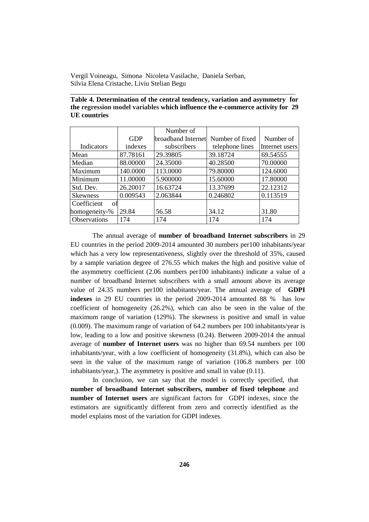| Table 4. Determination of the central tendency, variation and asymmetry for   |  |
|-------------------------------------------------------------------------------|--|
| the regression model variables which influence the e-commerce activity for 29 |  |
| UE countries                                                                  |  |

\_\_\_\_\_\_\_\_\_\_\_\_\_\_\_\_\_\_\_\_\_\_\_\_\_\_\_\_\_\_\_\_\_\_\_\_\_\_\_\_\_\_\_\_\_\_\_\_\_\_\_\_\_\_\_\_\_\_\_\_\_\_\_\_\_\_

|                   |            | Number of          |                 |                |
|-------------------|------------|--------------------|-----------------|----------------|
|                   | <b>GDP</b> | broadband Internet | Number of fixed | Number of      |
| <b>Indicators</b> | indexes    | subscribers        | telephone lines | Internet users |
| Mean              | 87.78161   | 29.39805           | 39.18724        | 69.54555       |
| Median            | 88.00000   | 24.35000           | 40.28500        | 70.00000       |
| Maximum           | 140.0000   | 113.0000           | 79.80000        | 124.6000       |
| Minimum           | 11.00000   | 5.900000           | 15.60000        | 17.80000       |
| Std. Dev.         | 26.20017   | 16.63724           | 13.37699        | 22.12312       |
| <b>Skewness</b>   | 0.009543   | 2.063844           | 0.246802        | 0.113519       |
| Coefficient<br>оf |            |                    |                 |                |
| homogeneity-%     | 29.84      | 56.58              | 34.12           | 31.80          |
| Observations      | 174        | 174                | 174             | 174            |

The annual average of **number of broadband Internet subscribers** in 29 EU countries in the period 2009-2014 amounted 30 numbers per100 inhabitants/year which has a very low representativeness, slightly over the threshold of 35%, caused by a sample variation degree of 276.55 which makes the high and positive value of the asymmetry coefficient (2.06 numbers per100 inhabitants) indicate a value of a number of broadband Internet subscribers with a small amount above its average value of 24.35 numbers per100 inhabitants/year. The annual average of **GDPI indexes** in 29 EU countries in the period 2009-2014 amounted 88 % has low coefficient of homogeneity (26.2%), which can also be seen in the value of the maximum range of variation (129%). The skewness is positive and small in value (0.009). The maximum range of variation of 64.2 numbers per 100 inhabitants/year is low, leading to a low and positive skewness (0.24). Between 2009-2014 the annual average of **number of Internet users** was no higher than 69.54 numbers per 100 inhabitants/year, with a low coefficient of homogeneity (31.8%), which can also be seen in the value of the maximum range of variation (106.8 numbers per 100 inhabitants/year,). The asymmetry is positive and small in value (0.11).

In conclusion, we can say that the model is correctly specified, that **number of broadband Internet subscribers, number of fixed telephone** and **number of Internet users** are significant factors for GDPI indexes, since the estimators are significantly different from zero and correctly identified as the model explains most of the variation for GDPI indexes.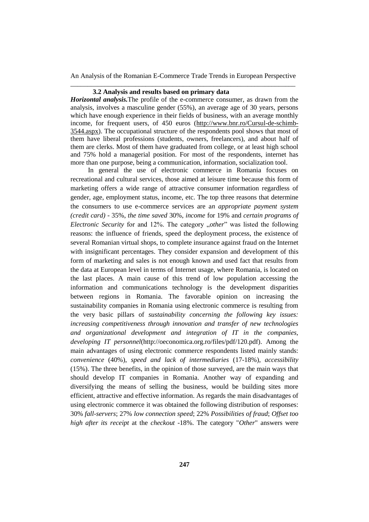### **3.2 Analysis and results based on primary data**

*Horizontal analysis.*The profile of the e-commerce consumer, as drawn from the analysis, involves a masculine gender (55%), an average age of 30 years, persons which have enough experience in their fields of business, with an average monthly income, for frequent users, of 450 euros [\(http://www.bnr.ro/Cursul-de-schimb-](http://www.bnr.ro/Cursul-de-schimb-3544.aspx)[3544.aspx\)](http://www.bnr.ro/Cursul-de-schimb-3544.aspx). The occupational structure of the respondents pool shows that most of them have liberal professions (students, owners, freelancers), and about half of them are clerks. Most of them have graduated from college, or at least high school and 75% hold a managerial position. For most of the respondents, internet has more than one purpose, being a communication, information, socialization tool.

In general the use of electronic commerce in Romania focuses on recreational and cultural services, those aimed at leisure time because this form of marketing offers a wide range of attractive consumer information regardless of gender, age, employment status, income, etc. The top three reasons that determine the consumers to use e-commerce services are a*n appropriate payment system (credit card)* - 35%, *the time saved* 30%, *income* for 19% and *certain programs of Electronic Security* for and 12%. The category *"other*" was listed the following reasons: the influence of friends, speed the deployment process, the existence of several Romanian virtual shops, to complete insurance against fraud on the Internet with insignificant percentages. They consider expansion and development of this form of marketing and sales is not enough known and used fact that results from the data at European level in terms of Internet usage, where Romania, is located on the last places. A main cause of this trend of low population accessing the information and communications technology is the development disparities between regions in Romania. The favorable opinion on increasing the sustainability companies in Romania using electronic commerce is resulting from the very basic pillars of *sustainability concerning the following key issues: increasing competitiveness through innovation and transfer of new technologies and organizational development and integration of IT in the companies, developing IT personnel*(http://oeconomica.org.ro/files/pdf/120.pdf). Among the main advantages of using electronic commerce respondents listed mainly stands: *convenience* (40%), *speed and lack of intermediaries* (17-18%), *accessibility*  (15%). The three benefits, in the opinion of those surveyed, are the main ways that should develop IT companies in Romania. Another way of expanding and diversifying the means of selling the business, would be building sites more efficient, attractive and effective information. As regards the main disadvantages of using electronic commerce it was obtained the following distribution of responses: 30% *fall-servers*; 27% *low connection speed*; 22% *Possibilities of fraud*; *Offset too high after its receipt* at the *checkout* -18%. The category "*Other*" answers were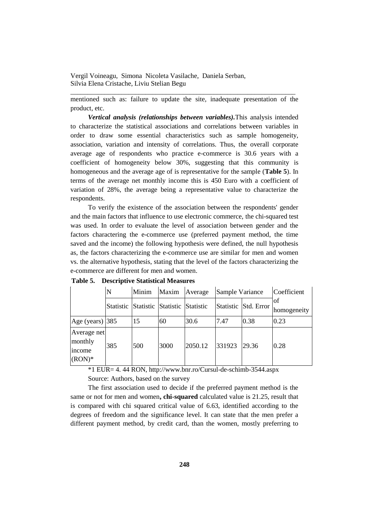mentioned such as: failure to update the site, inadequate presentation of the product, etc.

\_\_\_\_\_\_\_\_\_\_\_\_\_\_\_\_\_\_\_\_\_\_\_\_\_\_\_\_\_\_\_\_\_\_\_\_\_\_\_\_\_\_\_\_\_\_\_\_\_\_\_\_\_\_\_\_\_\_\_\_\_\_\_\_\_\_

*Vertical analysis (relationships between variables).*This analysis intended to characterize the statistical associations and correlations between variables in order to draw some essential characteristics such as sample homogeneity, association, variation and intensity of correlations. Thus, the overall corporate average age of respondents who practice e-commerce is 30.6 years with a coefficient of homogeneity below 30%, suggesting that this community is homogeneous and the average age of is representative for the sample (**Table 5**). In terms of the average net monthly income this is 450 Euro with a coefficient of variation of 28%, the average being a representative value to characterize the respondents.

To verify the existence of the association between the respondents' gender and the main factors that influence to use electronic commerce, the chi-squared test was used. In order to evaluate the level of association between gender and the factors charactering the e-commerce use (preferred payment method, the time saved and the income) the following hypothesis were defined, the null hypothesis as, the factors characterizing the e-commerce use are similar for men and women vs. the alternative hypothesis, stating that the level of the factors characterizing the e-commerce are different for men and women.

|                                              |     | Minim                                   | Maxim | Average | Sample Variance |                      | Coefficient        |
|----------------------------------------------|-----|-----------------------------------------|-------|---------|-----------------|----------------------|--------------------|
|                                              |     | Statistic Statistic Statistic Statistic |       |         |                 | Statistic Std. Error | lof<br>homogeneity |
| Age (years) $ 385 $                          |     | 15                                      | 60    | 30.6    | 7.47            | 0.38                 | 0.23               |
| Average net<br>monthly<br>income<br>$(RON)*$ | 385 | 500                                     | 3000  | 2050.12 | 331923          | 29.36                | 0.28               |

**Table 5. Descriptive Statistical Measures**

\*1 EUR= 4. 44 RON, http://www.bnr.ro/Cursul-de-schimb-3544.aspx Source: Authors, based on the survey

The first association used to decide if the preferred payment method is the same or not for men and women**, chi-squared** calculated value is 21.25, result that is compared with chi squared critical value of 6.63, identified according to the degrees of freedom and the significance level. It can state that the men prefer a different payment method, by credit card, than the women, mostly preferring to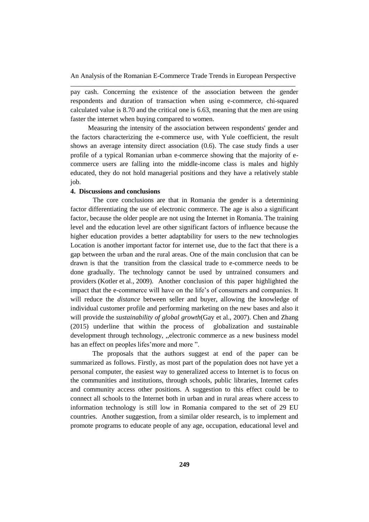pay cash. Concerning the existence of the association between the gender respondents and duration of transaction when using e-commerce, chi-squared calculated value is 8.70 and the critical one is 6.63, meaning that the men are using faster the internet when buying compared to women.

Measuring the intensity of the association between respondents' gender and the factors characterizing the e-commerce use, with Yule coefficient, the result shows an average intensity direct association (0.6). The case study finds a user profile of a typical Romanian urban e-commerce showing that the majority of ecommerce users are falling into the middle-income class is males and highly educated, they do not hold managerial positions and they have a relatively stable job.

#### **4. Discussions and conclusions**

The core conclusions are that in Romania the gender is a determining factor differentiating the use of electronic commerce. The age is also a significant factor, because the older people are not using the Internet in Romania. The training level and the education level are other significant factors of influence because the higher education provides a better adaptability for users to the new technologies Location is another important factor for internet use, due to the fact that there is a gap between the urban and the rural areas. One of the main conclusion that can be drawn is that the transition from the classical trade to e-commerce needs to be done gradually. The technology cannot be used by untrained consumers and providers (Kotler et al., 2009). Another conclusion of this paper highlighted the impact that the e-commerce will have on the life's of consumers and companies. It will reduce the *distance* between seller and buyer, allowing the knowledge of individual customer profile and performing marketing on the new bases and also it will provide the *sustainability of global growth*(Gay et al., 2007). Chen and Zhang (2015) underline that within the process of globalization and sustainable development through technology, ,,electronic commerce as a new business model has an effect on peoples lifes'more and more ".

The proposals that the authors suggest at end of the paper can be summarized as follows. Firstly, as most part of the population does not have yet a personal computer, the easiest way to generalized access to Internet is to focus on the communities and institutions, through schools, public libraries, Internet cafes and community access other positions. A suggestion to this effect could be to connect all schools to the Internet both in urban and in rural areas where access to information technology is still low in Romania compared to the set of 29 EU countries. Another suggestion, from a similar older research, is to implement and promote programs to educate people of any age, occupation, educational level and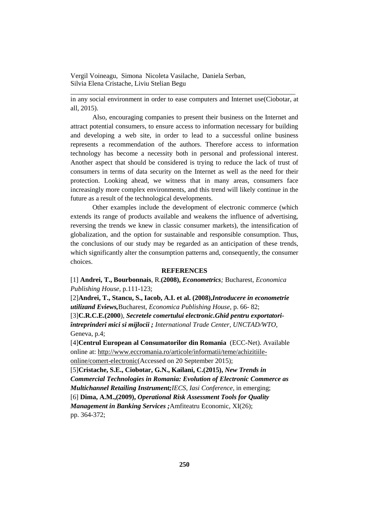in any social environment in order to ease computers and Internet use(Ciobotar, at all, 2015).

\_\_\_\_\_\_\_\_\_\_\_\_\_\_\_\_\_\_\_\_\_\_\_\_\_\_\_\_\_\_\_\_\_\_\_\_\_\_\_\_\_\_\_\_\_\_\_\_\_\_\_\_\_\_\_\_\_\_\_\_\_\_\_\_\_\_

Also, encouraging companies to present their business on the Internet and attract potential consumers, to ensure access to information necessary for building and developing a web site, in order to lead to a successful online business represents a recommendation of the authors. Therefore access to information technology has become a necessity both in personal and professional interest. Another aspect that should be considered is trying to reduce the lack of trust of consumers in terms of data security on the Internet as well as the need for their protection. Looking ahead, we witness that in many areas, consumers face increasingly more complex environments, and this trend will likely continue in the future as a result of the technological developments.

Other examples include the development of electronic commerce (which extends its range of products available and weakens the influence of advertising, reversing the trends we knew in classic consumer markets), the intensification of globalization, and the option for sustainable and responsible consumption. Thus, the conclusions of our study may be regarded as an anticipation of these trends, which significantly alter the consumption patterns and, consequently, the consumer choices.

#### **REFERENCES**

[1] **Andrei, T., Bourbonnais**, R.**(2008),** *Econometrics;* Bucharest, *Economica Publishing House*, p.111-123;

[2]**Andrei, T., Stancu, S., Iacob, A.I. et al. (2008),***Introducere in econometrie utilizand Eviews,*Bucharest, *Economica Publishing House*, p. 66- 82; [3]**C.R.C.E.(2000**), *Secretele comertului electronic.Ghid pentru exportatoriîntreprinderi mici si mijlocii ; International Trade Center, UNCTAD/WTO*, Geneva, p.4;

[4]**Centrul European al Consumatorilor din Romania** (ECC-Net). Available online at[: http://www.eccromania.ro/articole/informatii/teme/achizitiile](http://www.eccromania.ro/articole/informatii/teme/achizitiile-online/comert-electronic)[online/comert-electronic\(](http://www.eccromania.ro/articole/informatii/teme/achizitiile-online/comert-electronic)Accessed on 20 September 2015);

[5]**Cristache, S.E., Ciobotar, G.N., Kailani, C.(2015),** *New Trends in Commercial Technologies in Romania: Evolution of Electronic Commerce as Multichannel Retailing Instrument;IECS, Iasi Conference*, in emerging; [6] **Dima, A.M.,(2009),** *Operational Risk Assessment Tools for Quality* 

*Management in Banking Services ;*Amfiteatru Economic, XI(26);

pp. 364-372;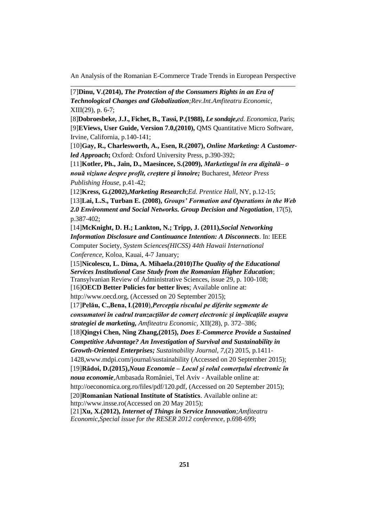[7]**Dinu, V.(2014),** *The Protection of the Consumers Rights in an Era of Technological Changes and Globalization;Rev.Int.Amfiteatru Economic*, XIII(29), p. 6-7;

[8]**Dobroesbeke, J.J., Fichet, B., Tassi, P.(1988),** *Le sondaje***,***ed. Economica*, Paris; [9]**EViews, User Guide, Version 7.0,(2010),** QMS Quantitative Micro Software, Irvine, California, p.140-141;

[10]**Gay, R., Charlesworth, A., Esen, R.(2007),** *Online Marketing: A Customerled Approach***;** Oxford: Oxford University Press, p.390-392;

[11]**Kotler, Ph., Jain, D., Maesincee, S.(2009),** *Marketingul în era digitală– o nouă viziune despre profit, creștere și înnoire;* Bucharest, *Meteor Press Publishing House,* p.41-42;

[12]**Kress, G.(2002),***Marketing Research*;*Ed. Prentice Hall*, NY, p.12-15; [13]**Lai, L.S., Turban E. (2008),** *Groups' Formation and Operations in the Web 2.0 Environment and Social Networks. Group Decision and Negotiation*, 17(5), p.387-402;

[14]**McKnight, D. H.; Lankton, N.; Tripp, J. (2011),***Social Networking Information Disclosure and Continuance Intention: A Disconnects*. In: IEEE Computer Society*, System Sciences(HICSS) 44th Hawaii International Conference,* Koloa, Kauai, 4-7 January;

[15]**Nicolescu, L. Dima, A. Mihaela.(2010)***The Quality of the Educational Services Institutional Case Study from the Romanian Higher Education*; Transylvanian Review of Administrative Sciences, issue 29, p. 100-108; [16]**OECD Better Policies for better lives**; Available online at: [http://www.oecd.org,](http://www.oecd.org/) (Accessed on 20 September 2015);

[17]**Pelău, C.,Bena, I**.**(2010**),*Percepţia riscului pe diferite segmente de consumatori în cadrul tranzacţiilor de comerţ electronic şi implicaţiile asupra strategiei de marketing, Amfiteatru Economic*, XII(28), p. 372–386;

[18]**Qingyi Chen, Ning Zhang,(2015),** *Does E-Commerce Provide a Sustained* 

*Competitive Advantage? An Investigation of Survival and Sustainability in* 

*Growth-Oriented Enterprises; Sustainability Journal, 7*,(2) 2015, p.1411-

1428[,www.mdpi.com/journal/sustainability](http://www.mdpi.com/journal/sustainability) (Accessed on 20 September 2015);

[19]**Rădoi, D.(2015),***Noua Economie* **–** *Locul şi rolul comerţului electronic în noua economie,*Ambasada României, Tel Aviv - Available online at: http://oeconomica.org.ro/files/pdf/120.pdf, (Accessed on 20 September 2015);

[20]**Romanian National Institute of Statistics**. Available online at: [http://www.insse.ro\(](http://www.insse.ro/)Accessed on 20 May 2015);

[21]**Xu, X.(2012),** *Internet of Things in Service Innovation;Amfiteatru Economic*,*Special issue for the RESER 2012 conference*, p.698-699;